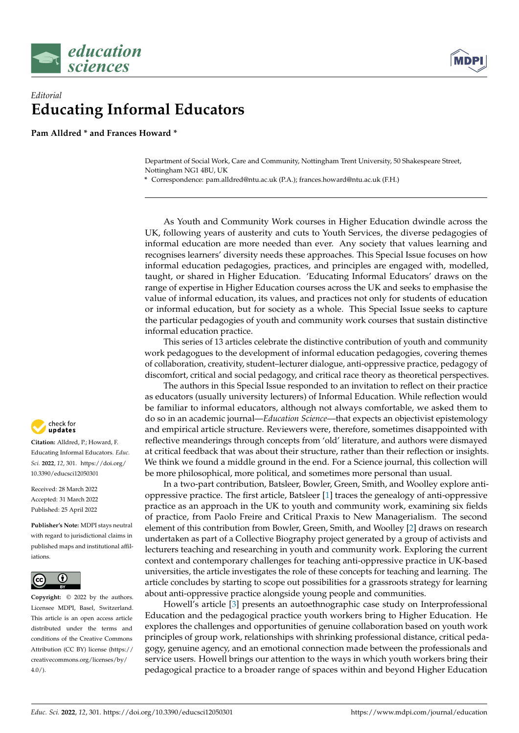

## *Editorial* **Educating Informal Educators**

**Pam Alldred \* and Frances Howard \***

Department of Social Work, Care and Community, Nottingham Trent University, 50 Shakespeare Street, Nottingham NG1 4BU, UK

**\*** Correspondence: pam.alldred@ntu.ac.uk (P.A.); frances.howard@ntu.ac.uk (F.H.)

As Youth and Community Work courses in Higher Education dwindle across the UK, following years of austerity and cuts to Youth Services, the diverse pedagogies of informal education are more needed than ever. Any society that values learning and recognises learners' diversity needs these approaches. This Special Issue focuses on how informal education pedagogies, practices, and principles are engaged with, modelled, taught, or shared in Higher Education. 'Educating Informal Educators' draws on the range of expertise in Higher Education courses across the UK and seeks to emphasise the value of informal education, its values, and practices not only for students of education or informal education, but for society as a whole. This Special Issue seeks to capture the particular pedagogies of youth and community work courses that sustain distinctive informal education practice.

This series of 13 articles celebrate the distinctive contribution of youth and community work pedagogues to the development of informal education pedagogies, covering themes of collaboration, creativity, student–lecturer dialogue, anti-oppressive practice, pedagogy of discomfort, critical and social pedagogy, and critical race theory as theoretical perspectives.

The authors in this Special Issue responded to an invitation to reflect on their practice as educators (usually university lecturers) of Informal Education. While reflection would be familiar to informal educators, although not always comfortable, we asked them to do so in an academic journal—*Education Science*—that expects an objectivist epistemology and empirical article structure. Reviewers were, therefore, sometimes disappointed with reflective meanderings through concepts from 'old' literature, and authors were dismayed at critical feedback that was about their structure, rather than their reflection or insights. We think we found a middle ground in the end. For a Science journal, this collection will be more philosophical, more political, and sometimes more personal than usual.

In a two-part contribution, Batsleer, Bowler, Green, Smith, and Woolley explore antioppressive practice. The first article, Batsleer [\[1\]](#page-2-0) traces the genealogy of anti-oppressive practice as an approach in the UK to youth and community work, examining six fields of practice, from Paolo Freire and Critical Praxis to New Managerialism. The second element of this contribution from Bowler, Green, Smith, and Woolley [\[2\]](#page-2-1) draws on research undertaken as part of a Collective Biography project generated by a group of activists and lecturers teaching and researching in youth and community work. Exploring the current context and contemporary challenges for teaching anti-oppressive practice in UK-based universities, the article investigates the role of these concepts for teaching and learning. The article concludes by starting to scope out possibilities for a grassroots strategy for learning about anti-oppressive practice alongside young people and communities.

Howell's article [\[3\]](#page-2-2) presents an autoethnographic case study on Interprofessional Education and the pedagogical practice youth workers bring to Higher Education. He explores the challenges and opportunities of genuine collaboration based on youth work principles of group work, relationships with shrinking professional distance, critical pedagogy, genuine agency, and an emotional connection made between the professionals and service users. Howell brings our attention to the ways in which youth workers bring their pedagogical practice to a broader range of spaces within and beyond Higher Education



**Citation:** Alldred, P.; Howard, F. Educating Informal Educators. *Educ. Sci.* **2022**, *12*, 301. [https://doi.org/](https://doi.org/10.3390/educsci12050301) [10.3390/educsci12050301](https://doi.org/10.3390/educsci12050301)

Received: 28 March 2022 Accepted: 31 March 2022 Published: 25 April 2022

**Publisher's Note:** MDPI stays neutral with regard to jurisdictional claims in published maps and institutional affiliations.



**Copyright:** © 2022 by the authors. Licensee MDPI, Basel, Switzerland. This article is an open access article distributed under the terms and conditions of the Creative Commons Attribution (CC BY) license [\(https://](https://creativecommons.org/licenses/by/4.0/) [creativecommons.org/licenses/by/](https://creativecommons.org/licenses/by/4.0/)  $4.0/$ ).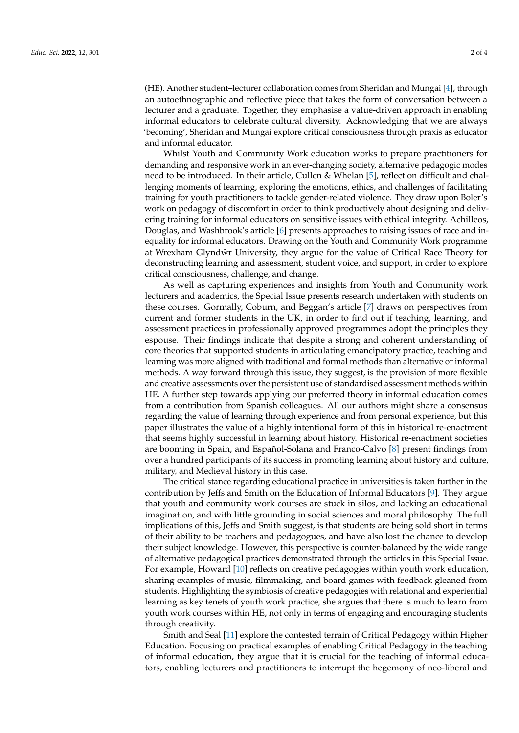(HE). Another student–lecturer collaboration comes from Sheridan and Mungai [\[4\]](#page-2-3), through an autoethnographic and reflective piece that takes the form of conversation between a lecturer and a graduate. Together, they emphasise a value-driven approach in enabling informal educators to celebrate cultural diversity. Acknowledging that we are always 'becoming', Sheridan and Mungai explore critical consciousness through praxis as educator and informal educator.

Whilst Youth and Community Work education works to prepare practitioners for demanding and responsive work in an ever-changing society, alternative pedagogic modes need to be introduced. In their article, Cullen & Whelan [\[5\]](#page-2-4), reflect on difficult and challenging moments of learning, exploring the emotions, ethics, and challenges of facilitating training for youth practitioners to tackle gender-related violence. They draw upon Boler's work on pedagogy of discomfort in order to think productively about designing and delivering training for informal educators on sensitive issues with ethical integrity. Achilleos, Douglas, and Washbrook's article [\[6\]](#page-2-5) presents approaches to raising issues of race and inequality for informal educators. Drawing on the Youth and Community Work programme at Wrexham Glyndŵr University, they argue for the value of Critical Race Theory for deconstructing learning and assessment, student voice, and support, in order to explore critical consciousness, challenge, and change.

As well as capturing experiences and insights from Youth and Community work lecturers and academics, the Special Issue presents research undertaken with students on these courses. Gormally, Coburn, and Beggan's article [\[7\]](#page-2-6) draws on perspectives from current and former students in the UK, in order to find out if teaching, learning, and assessment practices in professionally approved programmes adopt the principles they espouse. Their findings indicate that despite a strong and coherent understanding of core theories that supported students in articulating emancipatory practice, teaching and learning was more aligned with traditional and formal methods than alternative or informal methods. A way forward through this issue, they suggest, is the provision of more flexible and creative assessments over the persistent use of standardised assessment methods within HE. A further step towards applying our preferred theory in informal education comes from a contribution from Spanish colleagues. All our authors might share a consensus regarding the value of learning through experience and from personal experience, but this paper illustrates the value of a highly intentional form of this in historical re-enactment that seems highly successful in learning about history. Historical re-enactment societies are booming in Spain, and Español-Solana and Franco-Calvo [\[8\]](#page-2-7) present findings from over a hundred participants of its success in promoting learning about history and culture, military, and Medieval history in this case.

The critical stance regarding educational practice in universities is taken further in the contribution by Jeffs and Smith on the Education of Informal Educators [\[9\]](#page-2-8). They argue that youth and community work courses are stuck in silos, and lacking an educational imagination, and with little grounding in social sciences and moral philosophy. The full implications of this, Jeffs and Smith suggest, is that students are being sold short in terms of their ability to be teachers and pedagogues, and have also lost the chance to develop their subject knowledge. However, this perspective is counter-balanced by the wide range of alternative pedagogical practices demonstrated through the articles in this Special Issue. For example, Howard [\[10\]](#page-2-9) reflects on creative pedagogies within youth work education, sharing examples of music, filmmaking, and board games with feedback gleaned from students. Highlighting the symbiosis of creative pedagogies with relational and experiential learning as key tenets of youth work practice, she argues that there is much to learn from youth work courses within HE, not only in terms of engaging and encouraging students through creativity.

Smith and Seal [\[11\]](#page-2-10) explore the contested terrain of Critical Pedagogy within Higher Education. Focusing on practical examples of enabling Critical Pedagogy in the teaching of informal education, they argue that it is crucial for the teaching of informal educators, enabling lecturers and practitioners to interrupt the hegemony of neo-liberal and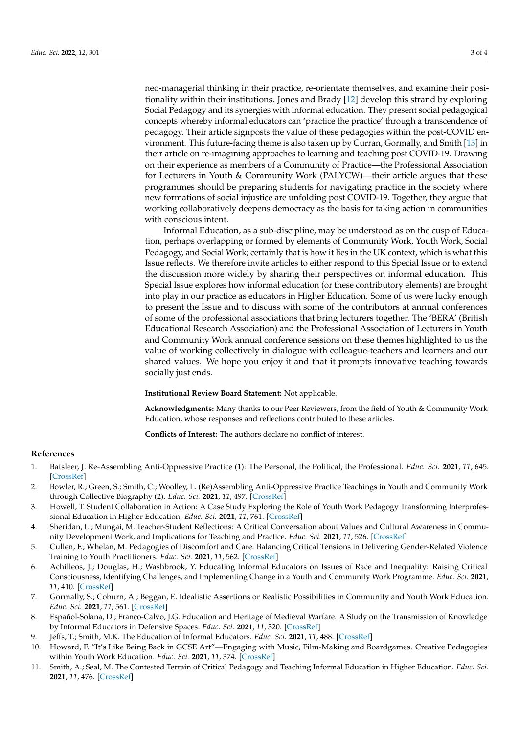neo-managerial thinking in their practice, re-orientate themselves, and examine their positionality within their institutions. Jones and Brady [\[12\]](#page-3-0) develop this strand by exploring Social Pedagogy and its synergies with informal education. They present social pedagogical concepts whereby informal educators can 'practice the practice' through a transcendence of pedagogy. Their article signposts the value of these pedagogies within the post-COVID environment. This future-facing theme is also taken up by Curran, Gormally, and Smith [\[13\]](#page-3-1) in their article on re-imagining approaches to learning and teaching post COVID-19. Drawing on their experience as members of a Community of Practice—the Professional Association for Lecturers in Youth & Community Work (PALYCW)—their article argues that these programmes should be preparing students for navigating practice in the society where new formations of social injustice are unfolding post COVID-19. Together, they argue that working collaboratively deepens democracy as the basis for taking action in communities with conscious intent.

Informal Education, as a sub-discipline, may be understood as on the cusp of Education, perhaps overlapping or formed by elements of Community Work, Youth Work, Social Pedagogy, and Social Work; certainly that is how it lies in the UK context, which is what this Issue reflects. We therefore invite articles to either respond to this Special Issue or to extend the discussion more widely by sharing their perspectives on informal education. This Special Issue explores how informal education (or these contributory elements) are brought into play in our practice as educators in Higher Education. Some of us were lucky enough to present the Issue and to discuss with some of the contributors at annual conferences of some of the professional associations that bring lecturers together. The 'BERA' (British Educational Research Association) and the Professional Association of Lecturers in Youth and Community Work annual conference sessions on these themes highlighted to us the value of working collectively in dialogue with colleague-teachers and learners and our shared values. We hope you enjoy it and that it prompts innovative teaching towards socially just ends.

**Institutional Review Board Statement:** Not applicable.

**Acknowledgments:** Many thanks to our Peer Reviewers, from the field of Youth & Community Work Education, whose responses and reflections contributed to these articles.

**Conflicts of Interest:** The authors declare no conflict of interest.

## **References**

- <span id="page-2-0"></span>1. Batsleer, J. Re-Assembling Anti-Oppressive Practice (1): The Personal, the Political, the Professional. *Educ. Sci.* **2021**, *11*, 645. [\[CrossRef\]](http://doi.org/10.3390/educsci11100645)
- <span id="page-2-1"></span>2. Bowler, R.; Green, S.; Smith, C.; Woolley, L. (Re)Assembling Anti-Oppressive Practice Teachings in Youth and Community Work through Collective Biography (2). *Educ. Sci.* **2021**, *11*, 497. [\[CrossRef\]](http://doi.org/10.3390/educsci11090497)
- <span id="page-2-2"></span>3. Howell, T. Student Collaboration in Action: A Case Study Exploring the Role of Youth Work Pedagogy Transforming Interprofessional Education in Higher Education. *Educ. Sci.* **2021**, *11*, 761. [\[CrossRef\]](http://doi.org/10.3390/educsci11120761)
- <span id="page-2-3"></span>4. Sheridan, L.; Mungai, M. Teacher-Student Reflections: A Critical Conversation about Values and Cultural Awareness in Community Development Work, and Implications for Teaching and Practice. *Educ. Sci.* **2021**, *11*, 526. [\[CrossRef\]](http://doi.org/10.3390/educsci11090526)
- <span id="page-2-4"></span>5. Cullen, F.; Whelan, M. Pedagogies of Discomfort and Care: Balancing Critical Tensions in Delivering Gender-Related Violence Training to Youth Practitioners. *Educ. Sci.* **2021**, *11*, 562. [\[CrossRef\]](http://doi.org/10.3390/educsci11090562)
- <span id="page-2-5"></span>6. Achilleos, J.; Douglas, H.; Washbrook, Y. Educating Informal Educators on Issues of Race and Inequality: Raising Critical Consciousness, Identifying Challenges, and Implementing Change in a Youth and Community Work Programme. *Educ. Sci.* **2021**, *11*, 410. [\[CrossRef\]](http://doi.org/10.3390/educsci11080410)
- <span id="page-2-6"></span>7. Gormally, S.; Coburn, A.; Beggan, E. Idealistic Assertions or Realistic Possibilities in Community and Youth Work Education. *Educ. Sci.* **2021**, *11*, 561. [\[CrossRef\]](http://doi.org/10.3390/educsci11090561)
- <span id="page-2-7"></span>8. Español-Solana, D.; Franco-Calvo, J.G. Education and Heritage of Medieval Warfare. A Study on the Transmission of Knowledge by Informal Educators in Defensive Spaces. *Educ. Sci.* **2021**, *11*, 320. [\[CrossRef\]](http://doi.org/10.3390/educsci11070320)
- <span id="page-2-8"></span>9. Jeffs, T.; Smith, M.K. The Education of Informal Educators. *Educ. Sci.* **2021**, *11*, 488. [\[CrossRef\]](http://doi.org/10.3390/educsci11090488)
- <span id="page-2-9"></span>10. Howard, F. "It's Like Being Back in GCSE Art"—Engaging with Music, Film-Making and Boardgames. Creative Pedagogies within Youth Work Education. *Educ. Sci.* **2021**, *11*, 374. [\[CrossRef\]](http://doi.org/10.3390/educsci11080374)
- <span id="page-2-10"></span>11. Smith, A.; Seal, M. The Contested Terrain of Critical Pedagogy and Teaching Informal Education in Higher Education. *Educ. Sci.* **2021**, *11*, 476. [\[CrossRef\]](http://doi.org/10.3390/educsci11090476)